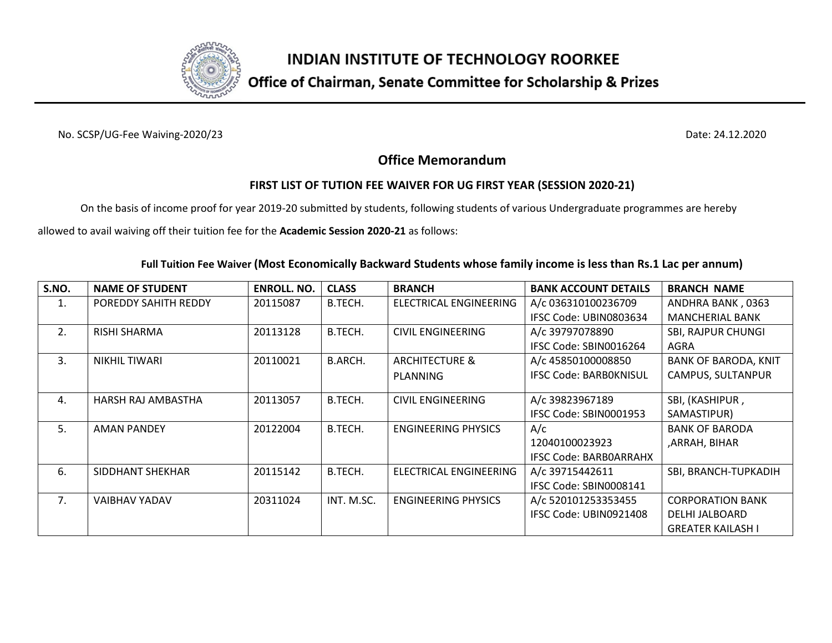

## Office of Chairman, Senate Committee for Scholarship & Prizes

No. SCSP/UG-Fee Waiving-2020/23 Date: 24.12.2020

### **Office Memorandum**

### **FIRST LIST OF TUTION FEE WAIVER FOR UG FIRST YEAR (SESSION 2020-21)**

On the basis of income proof for year 2019-20 submitted by students, following students of various Undergraduate programmes are hereby

allowed to avail waiving off their tuition fee for the **Academic Session 2020-21** as follows:

#### **Full Tuition Fee Waiver (Most Economically Backward Students whose family income is less than Rs.1 Lac per annum)**

| S.NO.          | <b>NAME OF STUDENT</b> | <b>ENROLL. NO.</b> | <b>CLASS</b> | <b>BRANCH</b>                 | <b>BANK ACCOUNT DETAILS</b>   | <b>BRANCH NAME</b>          |
|----------------|------------------------|--------------------|--------------|-------------------------------|-------------------------------|-----------------------------|
| 1.             | POREDDY SAHITH REDDY   | 20115087           | B.TECH.      | <b>ELECTRICAL ENGINEERING</b> | A/c 036310100236709           | ANDHRA BANK, 0363           |
|                |                        |                    |              |                               | IFSC Code: UBIN0803634        | <b>MANCHERIAL BANK</b>      |
| 2.             | <b>RISHI SHARMA</b>    | 20113128           | B.TECH.      | CIVIL ENGINEERING             | A/c 39797078890               | <b>SBI, RAJPUR CHUNGI</b>   |
|                |                        |                    |              |                               | IFSC Code: SBIN0016264        | AGRA                        |
| 3.             | NIKHIL TIWARI          | 20110021           | B.ARCH.      | <b>ARCHITECTURE &amp;</b>     | A/c 45850100008850            | <b>BANK OF BARODA, KNIT</b> |
|                |                        |                    |              | PLANNING                      | <b>IFSC Code: BARBOKNISUL</b> | CAMPUS, SULTANPUR           |
|                |                        |                    |              |                               |                               |                             |
| $\mathbf{4}$ . | HARSH RAJ AMBASTHA     | 20113057           | B.TECH.      | <b>CIVIL ENGINEERING</b>      | A/c 39823967189               | SBI, (KASHIPUR,             |
|                |                        |                    |              |                               | IFSC Code: SBIN0001953        | SAMASTIPUR)                 |
| 5.             | <b>AMAN PANDEY</b>     | 20122004           | B.TECH.      | <b>ENGINEERING PHYSICS</b>    | A/c                           | <b>BANK OF BARODA</b>       |
|                |                        |                    |              |                               | 12040100023923                | ,ARRAH, BIHAR               |
|                |                        |                    |              |                               | <b>IFSC Code: BARBOARRAHX</b> |                             |
| 6.             | SIDDHANT SHEKHAR       | 20115142           | B.TECH.      | <b>ELECTRICAL ENGINEERING</b> | A/c 39715442611               | SBI, BRANCH-TUPKADIH        |
|                |                        |                    |              |                               | IFSC Code: SBIN0008141        |                             |
| 7.             | <b>VAIBHAV YADAV</b>   | 20311024           | INT. M.SC.   | <b>ENGINEERING PHYSICS</b>    | A/c 520101253353455           | <b>CORPORATION BANK</b>     |
|                |                        |                    |              |                               | IFSC Code: UBIN0921408        | DELHI JALBOARD              |
|                |                        |                    |              |                               |                               | <b>GREATER KAILASH I</b>    |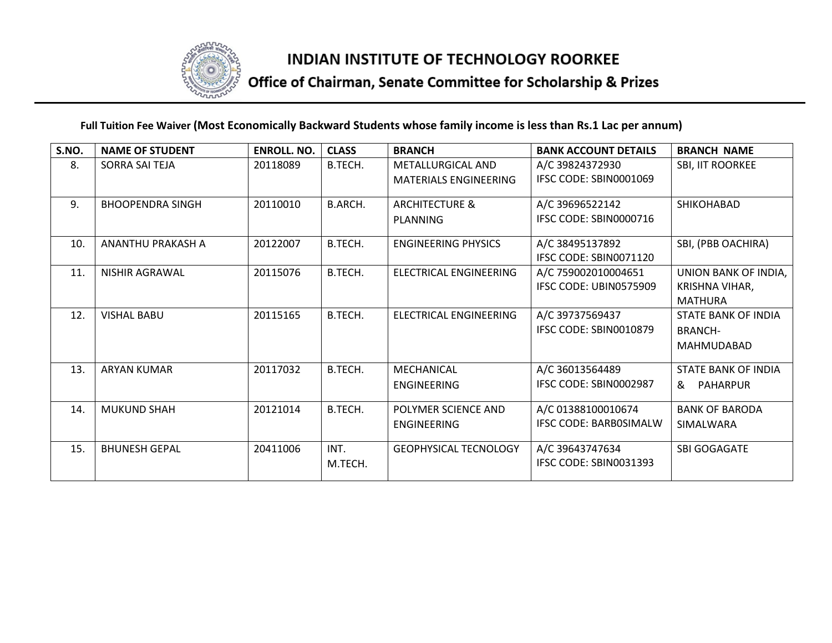

# Office of Chairman, Senate Committee for Scholarship & Prizes

### **Full Tuition Fee Waiver (Most Economically Backward Students whose family income is less than Rs.1 Lac per annum)**

| S.NO. | <b>NAME OF STUDENT</b>  | <b>ENROLL, NO.</b> | <b>CLASS</b>   | <b>BRANCH</b>                 | <b>BANK ACCOUNT DETAILS</b>               | <b>BRANCH NAME</b>    |
|-------|-------------------------|--------------------|----------------|-------------------------------|-------------------------------------------|-----------------------|
| 8.    | SORRA SAI TEJA          | 20118089           | B.TECH.        | <b>METALLURGICAL AND</b>      | A/C 39824372930<br>IFSC CODE: SBIN0001069 | SBI, IIT ROORKEE      |
|       |                         |                    |                | <b>MATERIALS ENGINEERING</b>  |                                           |                       |
| 9.    | <b>BHOOPENDRA SINGH</b> | 20110010           | <b>B.ARCH.</b> | <b>ARCHITECTURE &amp;</b>     | A/C 39696522142                           | SHIKOHABAD            |
|       |                         |                    |                | PLANNING                      | IFSC CODE: SBIN0000716                    |                       |
| 10.   | ANANTHU PRAKASH A       | 20122007           | B.TECH.        | <b>ENGINEERING PHYSICS</b>    | A/C 38495137892                           | SBI, (PBB OACHIRA)    |
|       |                         |                    |                |                               | IFSC CODE: SBIN0071120                    |                       |
| 11.   | <b>NISHIR AGRAWAL</b>   | 20115076           | B.TECH.        | ELECTRICAL ENGINEERING        | A/C 759002010004651                       | UNION BANK OF INDIA,  |
|       |                         |                    |                |                               | IFSC CODE: UBIN0575909                    | KRISHNA VIHAR,        |
|       |                         |                    |                |                               |                                           | MATHURA               |
| 12.   | <b>VISHAL BABU</b>      | 20115165           | B.TECH.        | <b>ELECTRICAL ENGINEERING</b> | A/C 39737569437                           | STATE BANK OF INDIA   |
|       |                         |                    |                |                               | IFSC CODE: SBIN0010879                    | <b>BRANCH-</b>        |
|       |                         |                    |                |                               |                                           | MAHMUDABAD            |
| 13.   | <b>ARYAN KUMAR</b>      | 20117032           | B.TECH.        | MECHANICAL                    | A/C 36013564489                           | STATE BANK OF INDIA   |
|       |                         |                    |                | <b>ENGINEERING</b>            | IFSC CODE: SBIN0002987                    | &<br><b>PAHARPUR</b>  |
| 14.   | <b>MUKUND SHAH</b>      | 20121014           | B.TECH.        | POLYMER SCIENCE AND           | A/C 01388100010674                        | <b>BANK OF BARODA</b> |
|       |                         |                    |                | <b>ENGINEERING</b>            | <b>IFSC CODE: BARBOSIMALW</b>             | <b>SIMALWARA</b>      |
|       |                         |                    |                |                               |                                           |                       |
| 15.   | <b>BHUNESH GEPAL</b>    | 20411006           | INT.           | <b>GEOPHYSICAL TECNOLOGY</b>  | A/C 39643747634                           | SBI GOGAGATE          |
|       |                         |                    | M.TECH.        |                               | IFSC CODE: SBIN0031393                    |                       |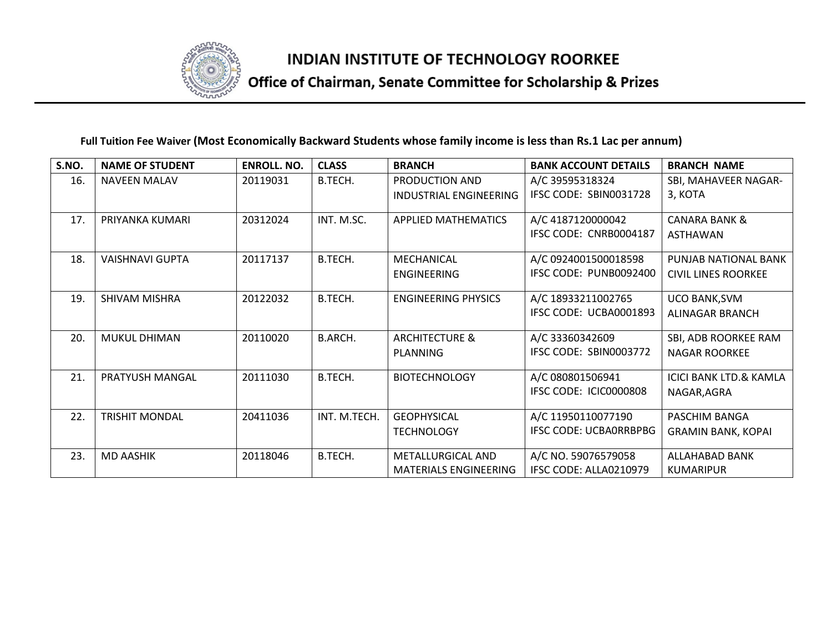

# Office of Chairman, Senate Committee for Scholarship & Prizes

#### **Full Tuition Fee Waiver (Most Economically Backward Students whose family income is less than Rs.1 Lac per annum)**

| S.NO. | <b>NAME OF STUDENT</b> | <b>ENROLL. NO.</b> | <b>CLASS</b>   | <b>BRANCH</b>                 | <b>BANK ACCOUNT DETAILS</b>   | <b>BRANCH NAME</b>                |
|-------|------------------------|--------------------|----------------|-------------------------------|-------------------------------|-----------------------------------|
| 16.   | <b>NAVEEN MALAV</b>    | 20119031           | B.TECH.        | PRODUCTION AND                | A/C 39595318324               | SBI, MAHAVEER NAGAR-              |
|       |                        |                    |                | <b>INDUSTRIAL ENGINEERING</b> | IFSC CODE: SBIN0031728        | 3, KOTA                           |
| 17.   | PRIYANKA KUMARI        | 20312024           | INT. M.SC.     | APPLIED MATHEMATICS           | A/C 4187120000042             | <b>CANARA BANK &amp;</b>          |
|       |                        |                    |                |                               | IFSC CODE: CNRB0004187        | <b>ASTHAWAN</b>                   |
| 18.   | <b>VAISHNAVI GUPTA</b> | 20117137           | B.TECH.        | MECHANICAL                    | A/C 0924001500018598          | PUNJAB NATIONAL BANK              |
|       |                        |                    |                | <b>ENGINEERING</b>            | IFSC CODE: PUNB0092400        | <b>CIVIL LINES ROORKEE</b>        |
| 19.   | SHIVAM MISHRA          | 20122032           | B.TECH.        | <b>ENGINEERING PHYSICS</b>    | A/C 18933211002765            | <b>UCO BANK, SVM</b>              |
|       |                        |                    |                |                               | IFSC CODE: UCBA0001893        | ALINAGAR BRANCH                   |
| 20.   | <b>MUKUL DHIMAN</b>    | 20110020           | <b>B.ARCH.</b> | <b>ARCHITECTURE &amp;</b>     | A/C 33360342609               | SBI, ADB ROORKEE RAM              |
|       |                        |                    |                | <b>PLANNING</b>               | IFSC CODE: SBIN0003772        | <b>NAGAR ROORKEE</b>              |
| 21.   | PRATYUSH MANGAL        | 20111030           | B.TECH.        | <b>BIOTECHNOLOGY</b>          | A/C 080801506941              | <b>ICICI BANK LTD.&amp; KAMLA</b> |
|       |                        |                    |                |                               | IFSC CODE: ICIC0000808        | NAGAR, AGRA                       |
| 22.   | <b>TRISHIT MONDAL</b>  | 20411036           | INT. M.TECH.   | <b>GEOPHYSICAL</b>            | A/C 11950110077190            | PASCHIM BANGA                     |
|       |                        |                    |                | <b>TECHNOLOGY</b>             | <b>IFSC CODE: UCBA0RRBPBG</b> | <b>GRAMIN BANK, KOPAI</b>         |
| 23.   | <b>MD AASHIK</b>       | 20118046           | B.TECH.        | <b>METALLURGICAL AND</b>      | A/C NO. 59076579058           | ALLAHABAD BANK                    |
|       |                        |                    |                | <b>MATERIALS ENGINEERING</b>  | IFSC CODE: ALLA0210979        | <b>KUMARIPUR</b>                  |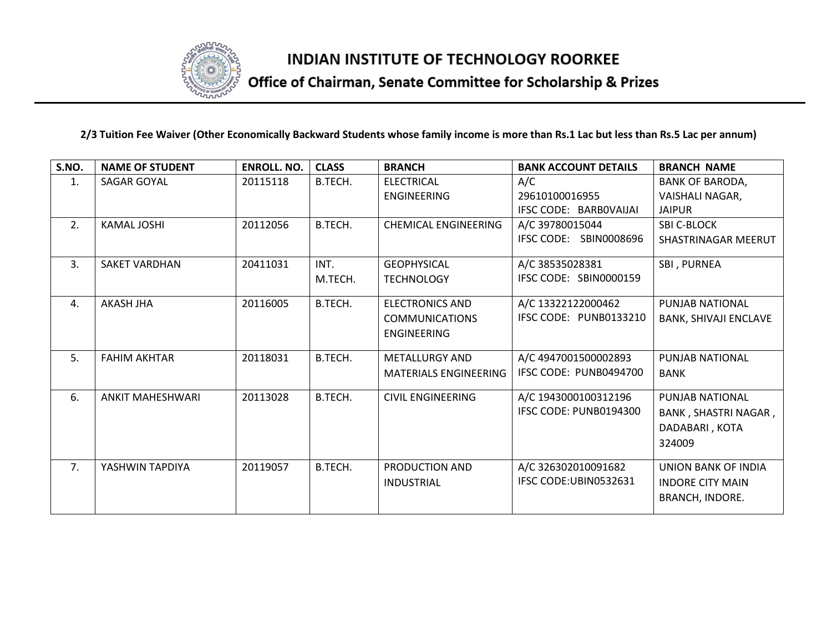

# Office of Chairman, Senate Committee for Scholarship & Prizes

#### **2/3 Tuition Fee Waiver (Other Economically Backward Students whose family income is more than Rs.1 Lac but less than Rs.5 Lac per annum)**

| S.NO. | <b>NAME OF STUDENT</b>  | <b>ENROLL. NO.</b> | <b>CLASS</b> | <b>BRANCH</b>                | <b>BANK ACCOUNT DETAILS</b> | <b>BRANCH NAME</b>           |
|-------|-------------------------|--------------------|--------------|------------------------------|-----------------------------|------------------------------|
| 1.    | SAGAR GOYAL             | 20115118           | B.TECH.      | <b>ELECTRICAL</b>            | A/C                         | <b>BANK OF BARODA,</b>       |
|       |                         |                    |              | ENGINEERING                  | 29610100016955              | VAISHALI NAGAR,              |
|       |                         |                    |              |                              | IFSC CODE: BARBOVAIJAI      | <b>JAIPUR</b>                |
| 2.    | <b>KAMAL JOSHI</b>      | 20112056           | B.TECH.      | <b>CHEMICAL ENGINEERING</b>  | A/C 39780015044             | <b>SBI C-BLOCK</b>           |
|       |                         |                    |              |                              | IFSC CODE: SBIN0008696      | SHASTRINAGAR MEERUT          |
| 3.    | <b>SAKET VARDHAN</b>    | 20411031           | INT.         | <b>GEOPHYSICAL</b>           | A/C 38535028381             | SBI, PURNEA                  |
|       |                         |                    | M.TECH.      | <b>TECHNOLOGY</b>            | IFSC CODE: SBIN0000159      |                              |
| 4.    | AKASH JHA               | 20116005           | B.TECH.      | ELECTRONICS AND              | A/C 13322122000462          | PUNJAB NATIONAL              |
|       |                         |                    |              | <b>COMMUNICATIONS</b>        | IFSC CODE: PUNB0133210      | <b>BANK, SHIVAJI ENCLAVE</b> |
|       |                         |                    |              | ENGINEERING                  |                             |                              |
| 5.    | <b>FAHIM AKHTAR</b>     | 20118031           | B.TECH.      | <b>METALLURGY AND</b>        | A/C 4947001500002893        | <b>PUNJAB NATIONAL</b>       |
|       |                         |                    |              | <b>MATERIALS ENGINEERING</b> | IFSC CODE: PUNB0494700      | <b>BANK</b>                  |
| 6.    | <b>ANKIT MAHESHWARI</b> | 20113028           | B.TECH.      | <b>CIVIL ENGINEERING</b>     | A/C 1943000100312196        | <b>PUNJAB NATIONAL</b>       |
|       |                         |                    |              |                              | IFSC CODE: PUNB0194300      | BANK, SHASTRI NAGAR,         |
|       |                         |                    |              |                              |                             | DADABARI, KOTA               |
|       |                         |                    |              |                              |                             | 324009                       |
| 7.    | YASHWIN TAPDIYA         | 20119057           | B.TECH.      | PRODUCTION AND               | A/C 326302010091682         | <b>UNION BANK OF INDIA</b>   |
|       |                         |                    |              | <b>INDUSTRIAL</b>            | IFSC CODE:UBIN0532631       | <b>INDORE CITY MAIN</b>      |
|       |                         |                    |              |                              |                             | <b>BRANCH, INDORE.</b>       |
|       |                         |                    |              |                              |                             |                              |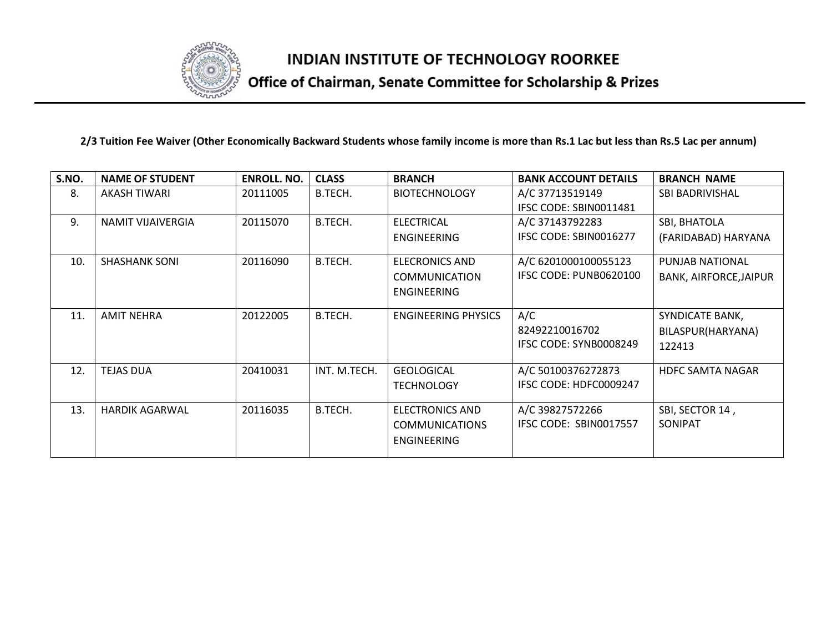

# Office of Chairman, Senate Committee for Scholarship & Prizes

#### **2/3 Tuition Fee Waiver (Other Economically Backward Students whose family income is more than Rs.1 Lac but less than Rs.5 Lac per annum)**

| S.NO. | <b>NAME OF STUDENT</b> | <b>ENROLL. NO.</b> | <b>CLASS</b> | <b>BRANCH</b>                                                 | <b>BANK ACCOUNT DETAILS</b>                                     | <b>BRANCH NAME</b>            |
|-------|------------------------|--------------------|--------------|---------------------------------------------------------------|-----------------------------------------------------------------|-------------------------------|
| 8.    | <b>AKASH TIWARI</b>    | 20111005           | B.TECH.      | <b>BIOTECHNOLOGY</b>                                          | A/C 37713519149                                                 | <b>SBI BADRIVISHAL</b>        |
|       |                        |                    |              |                                                               | IFSC CODE: SBIN0011481                                          |                               |
| 9.    | NAMIT VIJAIVERGIA      | 20115070           | B.TECH.      | <b>ELECTRICAL</b>                                             | A/C 37143792283                                                 | SBI, BHATOLA                  |
|       |                        |                    |              | <b>ENGINEERING</b>                                            | IFSC CODE: SBIN0016277                                          | (FARIDABAD) HARYANA           |
| 10.   | <b>SHASHANK SONI</b>   | 20116090           | B.TECH.      | <b>ELECRONICS AND</b>                                         | A/C 6201000100055123                                            | PUNJAB NATIONAL               |
|       |                        |                    |              | <b>COMMUNICATION</b>                                          | IFSC CODE: PUNB0620100                                          | <b>BANK, AIRFORCE, JAIPUR</b> |
|       |                        |                    |              | ENGINEERING                                                   |                                                                 |                               |
| 11.   | <b>AMIT NEHRA</b>      | 20122005           | B.TECH.      | <b>ENGINEERING PHYSICS</b>                                    | A/C                                                             | SYNDICATE BANK,               |
|       |                        |                    |              |                                                               | 82492210016702                                                  | BILASPUR(HARYANA)             |
|       |                        |                    |              |                                                               | IFSC CODE: SYNB0008249                                          | 122413                        |
| 12.   | <b>TEJAS DUA</b>       | 20410031           | INT. M.TECH. |                                                               |                                                                 | <b>HDFC SAMTA NAGAR</b>       |
|       |                        |                    |              | <b>TECHNOLOGY</b>                                             | IFSC CODE: HDFC0009247                                          |                               |
|       |                        |                    |              |                                                               |                                                                 |                               |
|       |                        |                    |              |                                                               |                                                                 |                               |
|       |                        |                    |              |                                                               |                                                                 |                               |
|       |                        |                    |              | <b>ENGINEERING</b>                                            |                                                                 |                               |
| 13.   | <b>HARDIK AGARWAL</b>  | 20116035           | B.TECH.      | <b>GEOLOGICAL</b><br>ELECTRONICS AND<br><b>COMMUNICATIONS</b> | A/C 50100376272873<br>A/C 39827572266<br>IFSC CODE: SBIN0017557 | SBI, SECTOR 14,<br>SONIPAT    |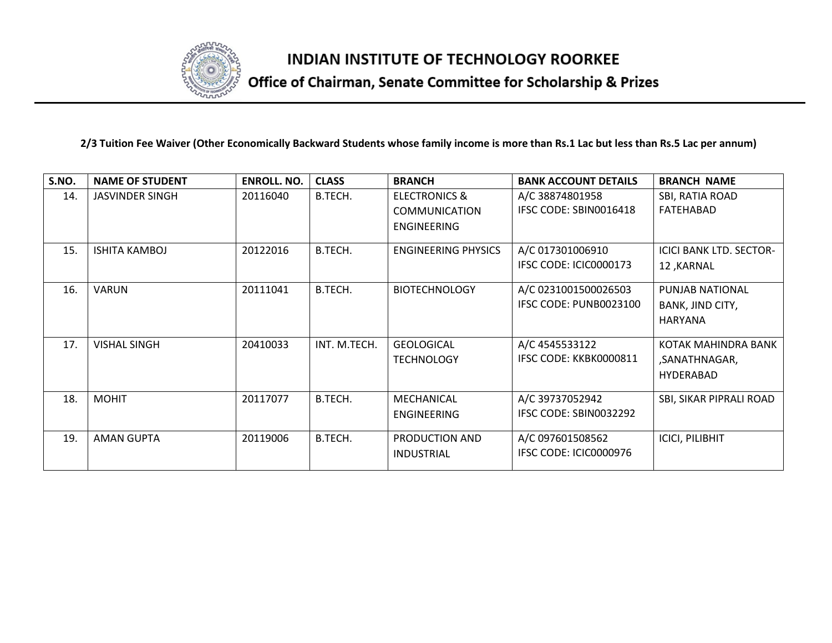

# Office of Chairman, Senate Committee for Scholarship & Prizes

#### **2/3 Tuition Fee Waiver (Other Economically Backward Students whose family income is more than Rs.1 Lac but less than Rs.5 Lac per annum)**

| S.NO. | <b>NAME OF STUDENT</b> | <b>ENROLL, NO.</b> | <b>CLASS</b> | <b>BRANCH</b>              | <b>BANK ACCOUNT DETAILS</b> | <b>BRANCH NAME</b>             |
|-------|------------------------|--------------------|--------------|----------------------------|-----------------------------|--------------------------------|
| 14.   | <b>JASVINDER SINGH</b> | 20116040           | B.TECH.      | <b>ELECTRONICS &amp;</b>   | A/C 38874801958             | SBI, RATIA ROAD                |
|       |                        |                    |              | <b>COMMUNICATION</b>       | IFSC CODE: SBIN0016418      | FATEHABAD                      |
|       |                        |                    |              | ENGINEERING                |                             |                                |
| 15.   | <b>ISHITA KAMBOJ</b>   | 20122016           | B.TECH.      | <b>ENGINEERING PHYSICS</b> | A/C 017301006910            | <b>ICICI BANK LTD. SECTOR-</b> |
|       |                        |                    |              |                            | IFSC CODE: ICIC0000173      | 12, KARNAL                     |
| 16.   | <b>VARUN</b>           | 20111041           | B.TECH.      | <b>BIOTECHNOLOGY</b>       | A/C 0231001500026503        | PUNJAB NATIONAL                |
|       |                        |                    |              |                            | IFSC CODE: PUNB0023100      | BANK, JIND CITY,               |
|       |                        |                    |              |                            |                             | <b>HARYANA</b>                 |
| 17.   | <b>VISHAL SINGH</b>    | 20410033           | INT. M.TECH. | <b>GEOLOGICAL</b>          | A/C 4545533122              | KOTAK MAHINDRA BANK            |
|       |                        |                    |              | <b>TECHNOLOGY</b>          | IFSC CODE: KKBK0000811      | ,SANATHNAGAR,                  |
|       |                        |                    |              |                            |                             | <b>HYDERABAD</b>               |
| 18.   | <b>MOHIT</b>           | 20117077           | B.TECH.      | MECHANICAL                 | A/C 39737052942             | SBI, SIKAR PIPRALI ROAD        |
|       |                        |                    |              | ENGINEERING                | IFSC CODE: SBIN0032292      |                                |
| 19.   | AMAN GUPTA             | 20119006           | B.TECH.      | PRODUCTION AND             | A/C 097601508562            | <b>ICICI, PILIBHIT</b>         |
|       |                        |                    |              | <b>INDUSTRIAL</b>          | IFSC CODE: ICIC0000976      |                                |